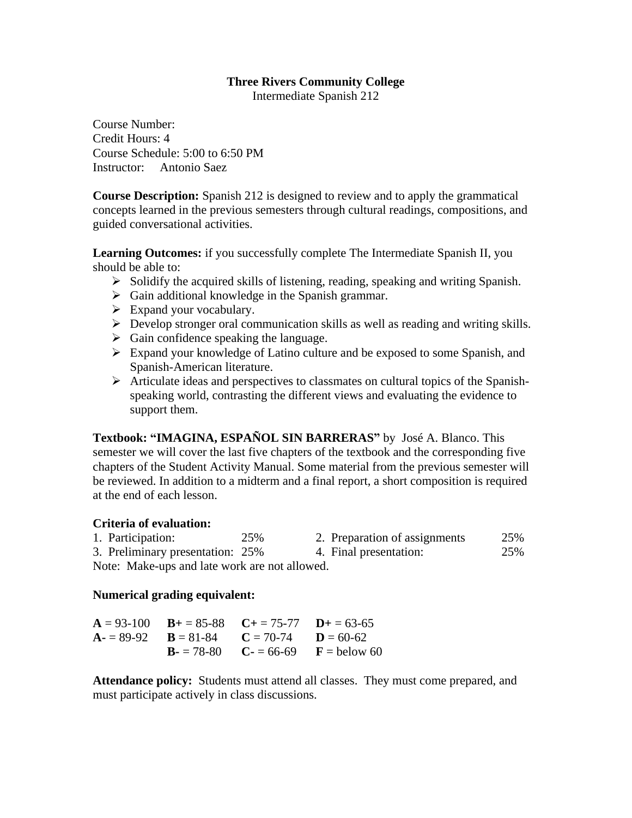# **Three Rivers Community College**

Intermediate Spanish 212

Course Number: Credit Hours: 4 Course Schedule: 5:00 to 6:50 PM Instructor: Antonio Saez

**Course Description:** Spanish 212 is designed to review and to apply the grammatical concepts learned in the previous semesters through cultural readings, compositions, and guided conversational activities.

**Learning Outcomes:** if you successfully complete The Intermediate Spanish II, you should be able to:

- $\triangleright$  Solidify the acquired skills of listening, reading, speaking and writing Spanish.
- $\triangleright$  Gain additional knowledge in the Spanish grammar.
- $\triangleright$  Expand your vocabulary.
- Develop stronger oral communication skills as well as reading and writing skills.
- $\triangleright$  Gain confidence speaking the language.
- Expand your knowledge of Latino culture and be exposed to some Spanish, and Spanish-American literature.
- $\triangleright$  Articulate ideas and perspectives to classmates on cultural topics of the Spanishspeaking world, contrasting the different views and evaluating the evidence to support them.

**Textbook: "IMAGINA, ESPAÑOL SIN BARRERAS"** by José A. Blanco. This semester we will cover the last five chapters of the textbook and the corresponding five chapters of the Student Activity Manual. Some material from the previous semester will be reviewed. In addition to a midterm and a final report, a short composition is required at the end of each lesson.

# **Criteria of evaluation:**

| 1. Participation:                             | 25% | 2. Preparation of assignments | 25% |
|-----------------------------------------------|-----|-------------------------------|-----|
| 3. Preliminary presentation: 25%              |     | 4. Final presentation:        | 25% |
| Note: Make-ups and late work are not allowed. |     |                               |     |

# **Numerical grading equivalent:**

| $A = 93-100$ $B = 85-88$ $C = 75-77$ $D = 63-65$ |                                        |
|--------------------------------------------------|----------------------------------------|
| $A = 89-92$ $B = 81-84$ $C = 70-74$ $D = 60-62$  |                                        |
|                                                  | $B = 78-80$ $C = 66-69$ $F =$ below 60 |

**Attendance policy:** Students must attend all classes. They must come prepared, and must participate actively in class discussions.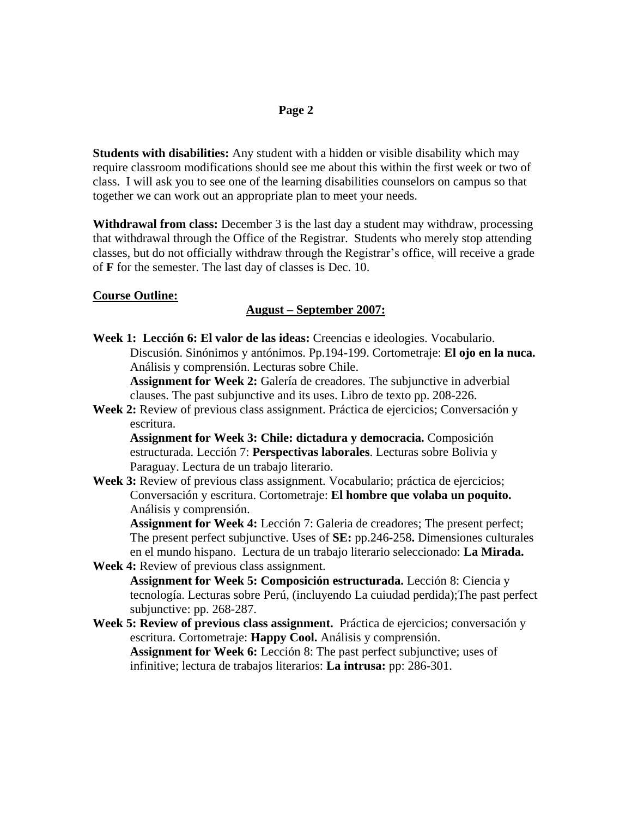## **Page 2**

**Students with disabilities:** Any student with a hidden or visible disability which may require classroom modifications should see me about this within the first week or two of class. I will ask you to see one of the learning disabilities counselors on campus so that together we can work out an appropriate plan to meet your needs.

**Withdrawal from class:** December 3 is the last day a student may withdraw, processing that withdrawal through the Office of the Registrar. Students who merely stop attending classes, but do not officially withdraw through the Registrar's office, will receive a grade of **F** for the semester. The last day of classes is Dec. 10.

### **Course Outline:**

### **August – September 2007:**

**Week 1: Lección 6: El valor de las ideas:** Creencias e ideologies. Vocabulario. Discusión. Sinónimos y antónimos. Pp.194-199. Cortometraje: **El ojo en la nuca.**  Análisis y comprensión. Lecturas sobre Chile.

**Assignment for Week 2:** Galería de creadores. The subjunctive in adverbial clauses. The past subjunctive and its uses. Libro de texto pp. 208-226.

**Week 2:** Review of previous class assignment. Práctica de ejercicios; Conversación y escritura.

**Assignment for Week 3: Chile: dictadura y democracia.** Composición estructurada. Lección 7: **Perspectivas laborales**. Lecturas sobre Bolivia y Paraguay. Lectura de un trabajo literario.

**Week 3:** Review of previous class assignment. Vocabulario; práctica de ejercicios; Conversación y escritura. Cortometraje: **El hombre que volaba un poquito.** Análisis y comprensión.

**Assignment for Week 4:** Lección 7: Galeria de creadores; The present perfect; The present perfect subjunctive. Uses of **SE:** pp.246-258**.** Dimensiones culturales en el mundo hispano. Lectura de un trabajo literario seleccionado: **La Mirada. Week 4:** Review of previous class assignment.

- **Assignment for Week 5: Composición estructurada.** Lección 8: Ciencia y tecnología. Lecturas sobre Perú, (incluyendo La cuiudad perdida);The past perfect subjunctive: pp. 268-287.
- **Week 5: Review of previous class assignment.** Práctica de ejercicios; conversación y escritura. Cortometraje: **Happy Cool.** Análisis y comprensión. **Assignment for Week 6:** Lección 8: The past perfect subjunctive; uses of infinitive; lectura de trabajos literarios: **La intrusa:** pp: 286-301.